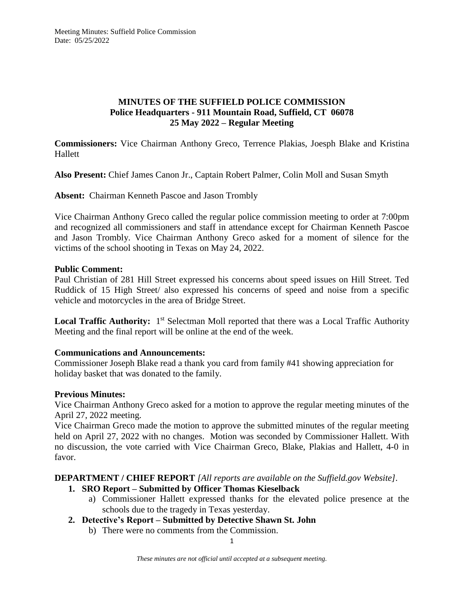### **MINUTES OF THE SUFFIELD POLICE COMMISSION Police Headquarters - 911 Mountain Road, Suffield, CT 06078 25 May 2022 – Regular Meeting**

**Commissioners:** Vice Chairman Anthony Greco, Terrence Plakias, Joesph Blake and Kristina Hallett

**Also Present:** Chief James Canon Jr., Captain Robert Palmer, Colin Moll and Susan Smyth

**Absent:** Chairman Kenneth Pascoe and Jason Trombly

Vice Chairman Anthony Greco called the regular police commission meeting to order at 7:00pm and recognized all commissioners and staff in attendance except for Chairman Kenneth Pascoe and Jason Trombly. Vice Chairman Anthony Greco asked for a moment of silence for the victims of the school shooting in Texas on May 24, 2022.

### **Public Comment:**

Paul Christian of 281 Hill Street expressed his concerns about speed issues on Hill Street. Ted Ruddick of 15 High Street/ also expressed his concerns of speed and noise from a specific vehicle and motorcycles in the area of Bridge Street.

Local Traffic Authority: 1<sup>st</sup> Selectman Moll reported that there was a Local Traffic Authority Meeting and the final report will be online at the end of the week.

### **Communications and Announcements:**

Commissioner Joseph Blake read a thank you card from family #41 showing appreciation for holiday basket that was donated to the family.

### **Previous Minutes:**

Vice Chairman Anthony Greco asked for a motion to approve the regular meeting minutes of the April 27, 2022 meeting.

Vice Chairman Greco made the motion to approve the submitted minutes of the regular meeting held on April 27, 2022 with no changes. Motion was seconded by Commissioner Hallett. With no discussion, the vote carried with Vice Chairman Greco, Blake, Plakias and Hallett, 4-0 in favor.

### **DEPARTMENT / CHIEF REPORT** *[All reports are available on the Suffield.gov Website].*

- **1. SRO Report – Submitted by Officer Thomas Kieselback**
	- a) Commissioner Hallett expressed thanks for the elevated police presence at the schools due to the tragedy in Texas yesterday.
- **2. Detective's Report – Submitted by Detective Shawn St. John**
	- b) There were no comments from the Commission.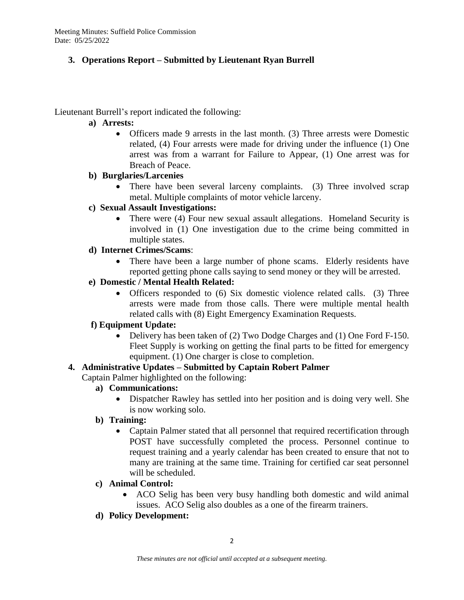# **3. Operations Report – Submitted by Lieutenant Ryan Burrell**

Lieutenant Burrell's report indicated the following:

### **a) Arrests:**

 Officers made 9 arrests in the last month. (3) Three arrests were Domestic related, (4) Four arrests were made for driving under the influence (1) One arrest was from a warrant for Failure to Appear, (1) One arrest was for Breach of Peace.

# **b) Burglaries/Larcenies**

• There have been several larceny complaints. (3) Three involved scrap metal. Multiple complaints of motor vehicle larceny.

# **c) Sexual Assault Investigations:**

• There were (4) Four new sexual assault allegations. Homeland Security is involved in (1) One investigation due to the crime being committed in multiple states.

# **d) Internet Crimes/Scams**:

 There have been a large number of phone scams. Elderly residents have reported getting phone calls saying to send money or they will be arrested.

# **e) Domestic / Mental Health Related:**

• Officers responded to (6) Six domestic violence related calls. (3) Three arrests were made from those calls. There were multiple mental health related calls with (8) Eight Emergency Examination Requests.

# **f) Equipment Update:**

 Delivery has been taken of (2) Two Dodge Charges and (1) One Ford F-150. Fleet Supply is working on getting the final parts to be fitted for emergency equipment. (1) One charger is close to completion.

# **4. Administrative Updates – Submitted by Captain Robert Palmer**

Captain Palmer highlighted on the following:

- **a) Communications:**
	- Dispatcher Rawley has settled into her position and is doing very well. She is now working solo.

# **b) Training:**

 Captain Palmer stated that all personnel that required recertification through POST have successfully completed the process. Personnel continue to request training and a yearly calendar has been created to ensure that not to many are training at the same time. Training for certified car seat personnel will be scheduled.

# **c) Animal Control:**

 ACO Selig has been very busy handling both domestic and wild animal issues. ACO Selig also doubles as a one of the firearm trainers.

# **d) Policy Development:**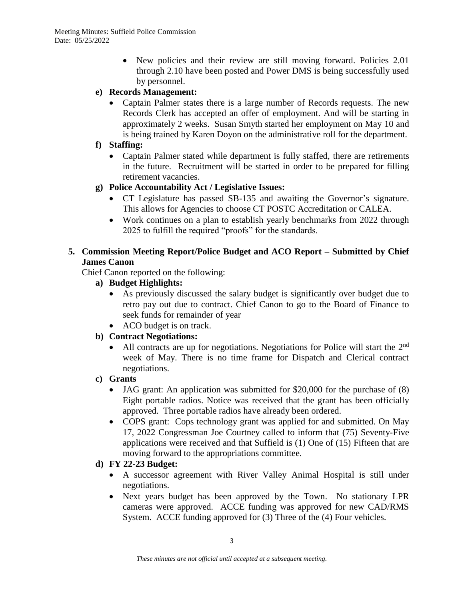- New policies and their review are still moving forward. Policies 2.01 through 2.10 have been posted and Power DMS is being successfully used by personnel.
- **e) Records Management:** 
	- Captain Palmer states there is a large number of Records requests. The new Records Clerk has accepted an offer of employment. And will be starting in approximately 2 weeks. Susan Smyth started her employment on May 10 and is being trained by Karen Doyon on the administrative roll for the department.
- **f) Staffing:**
	- Captain Palmer stated while department is fully staffed, there are retirements in the future. Recruitment will be started in order to be prepared for filling retirement vacancies.
- **g) Police Accountability Act / Legislative Issues:**
	- CT Legislature has passed SB-135 and awaiting the Governor's signature. This allows for Agencies to choose CT POSTC Accreditation or CALEA.
	- Work continues on a plan to establish yearly benchmarks from 2022 through 2025 to fulfill the required "proofs" for the standards.

# **5. Commission Meeting Report/Police Budget and ACO Report – Submitted by Chief James Canon**

Chief Canon reported on the following:

- **a) Budget Highlights:**
	- As previously discussed the salary budget is significantly over budget due to retro pay out due to contract. Chief Canon to go to the Board of Finance to seek funds for remainder of year
	- ACO budget is on track.

# **b) Contract Negotiations:**

- All contracts are up for negotiations. Negotiations for Police will start the  $2<sup>nd</sup>$ week of May. There is no time frame for Dispatch and Clerical contract negotiations.
- **c) Grants**
	- JAG grant: An application was submitted for \$20,000 for the purchase of (8) Eight portable radios. Notice was received that the grant has been officially approved. Three portable radios have already been ordered.
	- COPS grant: Cops technology grant was applied for and submitted. On May 17, 2022 Congressman Joe Courtney called to inform that (75) Seventy-Five applications were received and that Suffield is (1) One of (15) Fifteen that are moving forward to the appropriations committee.
- **d) FY 22-23 Budget:**
	- A successor agreement with River Valley Animal Hospital is still under negotiations.
	- Next years budget has been approved by the Town. No stationary LPR cameras were approved. ACCE funding was approved for new CAD/RMS System. ACCE funding approved for (3) Three of the (4) Four vehicles.